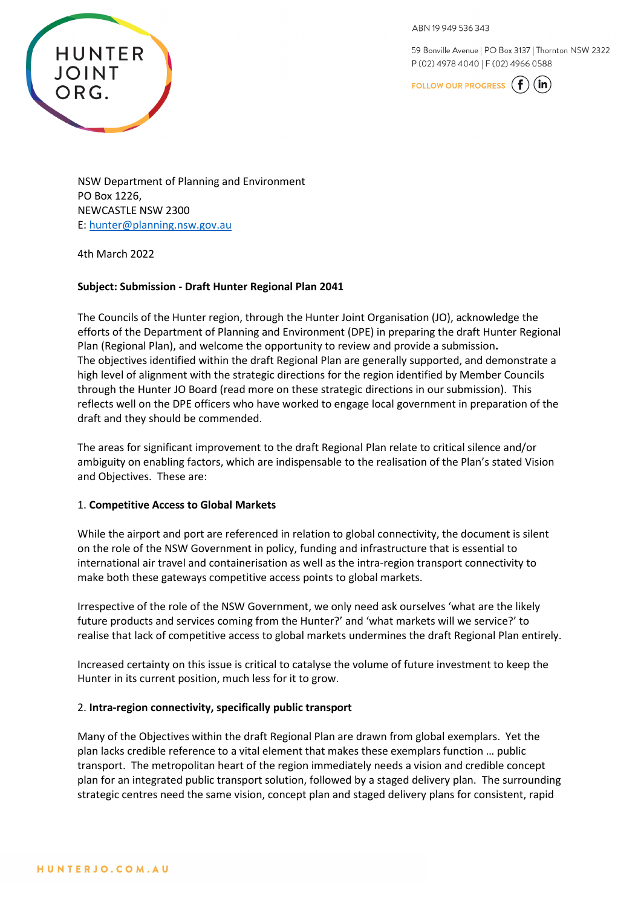**HUNTER JOINT** ORG.

59 Bonville Avenue | PO Box 3137 | Thornton NSW 2322 P (02) 4978 4040 | F (02) 4966 0588

FOLLOW OUR PROGRESS  $(f)$  $(in)$ 

NSW Department of Planning and Environment PO Box 1226, NEWCASTLE NSW 2300 E: [hunter@planning.nsw.gov.au](mailto:hunter@planning.nsw.gov.au) 

4th March 2022

## **Subject: Submission - Draft Hunter Regional Plan 2041**

The Councils of the Hunter region, through the Hunter Joint Organisation (JO), acknowledge the efforts of the Department of Planning and Environment (DPE) in preparing the draft Hunter Regional Plan (Regional Plan), and welcome the opportunity to review and provide a submission**.**  The objectives identified within the draft Regional Plan are generally supported, and demonstrate a high level of alignment with the strategic directions for the region identified by Member Councils through the Hunter JO Board (read more on these strategic directions in our submission). This reflects well on the DPE officers who have worked to engage local government in preparation of the draft and they should be commended.

The areas for significant improvement to the draft Regional Plan relate to critical silence and/or ambiguity on enabling factors, which are indispensable to the realisation of the Plan's stated Vision and Objectives. These are:

### 1. **Competitive Access to Global Markets**

While the airport and port are referenced in relation to global connectivity, the document is silent on the role of the NSW Government in policy, funding and infrastructure that is essential to international air travel and containerisation as well as the intra-region transport connectivity to make both these gateways competitive access points to global markets.

Irrespective of the role of the NSW Government, we only need ask ourselves 'what are the likely future products and services coming from the Hunter?' and 'what markets will we service?' to realise that lack of competitive access to global markets undermines the draft Regional Plan entirely.

Increased certainty on this issue is critical to catalyse the volume of future investment to keep the Hunter in its current position, much less for it to grow.

### 2. **Intra-region connectivity, specifically public transport**

Many of the Objectives within the draft Regional Plan are drawn from global exemplars. Yet the plan lacks credible reference to a vital element that makes these exemplars function … public transport. The metropolitan heart of the region immediately needs a vision and credible concept plan for an integrated public transport solution, followed by a staged delivery plan. The surrounding strategic centres need the same vision, concept plan and staged delivery plans for consistent, rapid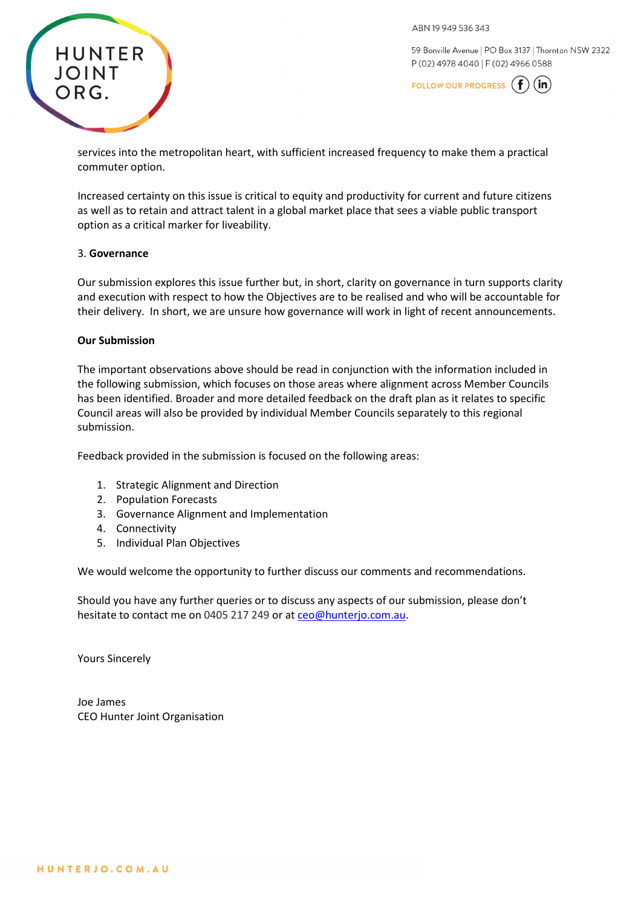

59 Bonville Avenue | PO Box 3137 | Thornton NSW 2322 P (02) 4978 4040 | F (02) 4966 0588

FOLLOW OUR PROGRESS  $(f)(in)$ 

services into the metropolitan heart, with sufficient increased frequency to make them a practical commuter option.

Increased certainty on this issue is critical to equity and productivity for current and future citizens as well as to retain and attract talent in a global market place that sees a viable public transport option as a critical marker for liveability.

### 3. **Governance**

Our submission explores this issue further but, in short, clarity on governance in turn supports clarity and execution with respect to how the Objectives are to be realised and who will be accountable for their delivery. In short, we are unsure how governance will work in light of recent announcements.

### **Our Submission**

The important observations above should be read in conjunction with the information included in the following submission, which focuses on those areas where alignment across Member Councils has been identified. Broader and more detailed feedback on the draft plan as it relates to specific Council areas will also be provided by individual Member Councils separately to this regional submission.

Feedback provided in the submission is focused on the following areas:

- 1. Strategic Alignment and Direction
- 2. Population Forecasts
- 3. Governance Alignment and Implementation
- 4. Connectivity
- 5. Individual Plan Objectives

We would welcome the opportunity to further discuss our comments and recommendations.

Should you have any further queries or to discuss any aspects of our submission, please don't hesitate to contact me on 0405 217 249 or at [ceo@hunterjo.com.au.](mailto:ceo@hunterjo.com.au)

Yours Sincerely

Joe James CEO Hunter Joint Organisation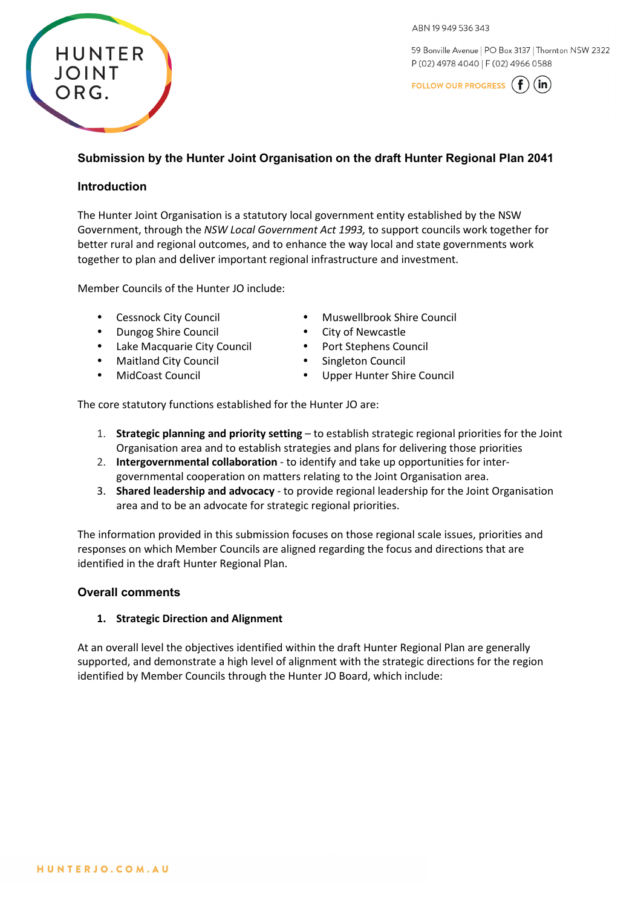59 Bonville Avenue | PO Box 3137 | Thornton NSW 2322 P (02) 4978 4040 | F (02) 4966 0588



# **Submission by the Hunter Joint Organisation on the draft Hunter Regional Plan 2041**

### **Introduction**

**HUNTER** 

JOINT

ORG.

The Hunter Joint Organisation is a statutory local government entity established by the NSW Government, through the *NSW Local Government Act 1993,* to support councils work together for better rural and regional outcomes, and to enhance the way local and state governments work together to plan and deliver important regional infrastructure and investment.

Member Councils of the Hunter JO include:

- Cessnock City Council
- Dungog Shire Council
- Lake Macquarie City Council
- Maitland City Council
- MidCoast Council
- Muswellbrook Shire Council
- City of Newcastle
- Port Stephens Council
- Singleton Council
- Upper Hunter Shire Council

The core statutory functions established for the Hunter JO are:

- 1. **Strategic planning and priority setting** to establish strategic regional priorities for the Joint Organisation area and to establish strategies and plans for delivering those priorities
- 2. **Intergovernmental collaboration** to identify and take up opportunities for intergovernmental cooperation on matters relating to the Joint Organisation area.
- 3. **Shared leadership and advocacy** to provide regional leadership for the Joint Organisation area and to be an advocate for strategic regional priorities.

The information provided in this submission focuses on those regional scale issues, priorities and responses on which Member Councils are aligned regarding the focus and directions that are identified in the draft Hunter Regional Plan.

### **Overall comments**

#### **1. Strategic Direction and Alignment**

At an overall level the objectives identified within the draft Hunter Regional Plan are generally supported, and demonstrate a high level of alignment with the strategic directions for the region identified by Member Councils through the Hunter JO Board, which include: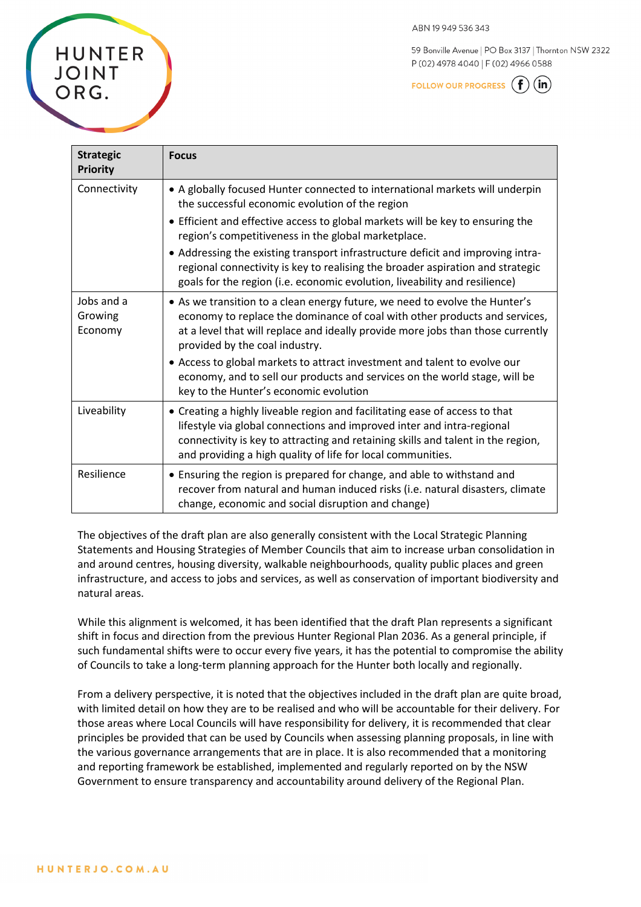59 Bonville Avenue | PO Box 3137 | Thornton NSW 2322 P (02) 4978 4040 | F (02) 4966 0588

FOLLOW OUR PROGRESS  $(f)(in)$ 

| <b>Strategic</b><br><b>Priority</b> | <b>Focus</b>                                                                                                                                                                                                                                                                                             |
|-------------------------------------|----------------------------------------------------------------------------------------------------------------------------------------------------------------------------------------------------------------------------------------------------------------------------------------------------------|
| Connectivity                        | • A globally focused Hunter connected to international markets will underpin<br>the successful economic evolution of the region                                                                                                                                                                          |
|                                     | • Efficient and effective access to global markets will be key to ensuring the<br>region's competitiveness in the global marketplace.                                                                                                                                                                    |
|                                     | • Addressing the existing transport infrastructure deficit and improving intra-<br>regional connectivity is key to realising the broader aspiration and strategic<br>goals for the region (i.e. economic evolution, liveability and resilience)                                                          |
| Jobs and a<br>Growing<br>Economy    | • As we transition to a clean energy future, we need to evolve the Hunter's<br>economy to replace the dominance of coal with other products and services,<br>at a level that will replace and ideally provide more jobs than those currently<br>provided by the coal industry.                           |
|                                     | • Access to global markets to attract investment and talent to evolve our<br>economy, and to sell our products and services on the world stage, will be<br>key to the Hunter's economic evolution                                                                                                        |
| Liveability                         | • Creating a highly liveable region and facilitating ease of access to that<br>lifestyle via global connections and improved inter and intra-regional<br>connectivity is key to attracting and retaining skills and talent in the region,<br>and providing a high quality of life for local communities. |
| Resilience                          | • Ensuring the region is prepared for change, and able to withstand and<br>recover from natural and human induced risks (i.e. natural disasters, climate<br>change, economic and social disruption and change)                                                                                           |

The objectives of the draft plan are also generally consistent with the Local Strategic Planning Statements and Housing Strategies of Member Councils that aim to increase urban consolidation in and around centres, housing diversity, walkable neighbourhoods, quality public places and green infrastructure, and access to jobs and services, as well as conservation of important biodiversity and natural areas.

While this alignment is welcomed, it has been identified that the draft Plan represents a significant shift in focus and direction from the previous Hunter Regional Plan 2036. As a general principle, if such fundamental shifts were to occur every five years, it has the potential to compromise the ability of Councils to take a long-term planning approach for the Hunter both locally and regionally.

From a delivery perspective, it is noted that the objectives included in the draft plan are quite broad, with limited detail on how they are to be realised and who will be accountable for their delivery. For those areas where Local Councils will have responsibility for delivery, it is recommended that clear principles be provided that can be used by Councils when assessing planning proposals, in line with the various governance arrangements that are in place. It is also recommended that a monitoring and reporting framework be established, implemented and regularly reported on by the NSW Government to ensure transparency and accountability around delivery of the Regional Plan.

**HUNTER** 

JOINT

ORG.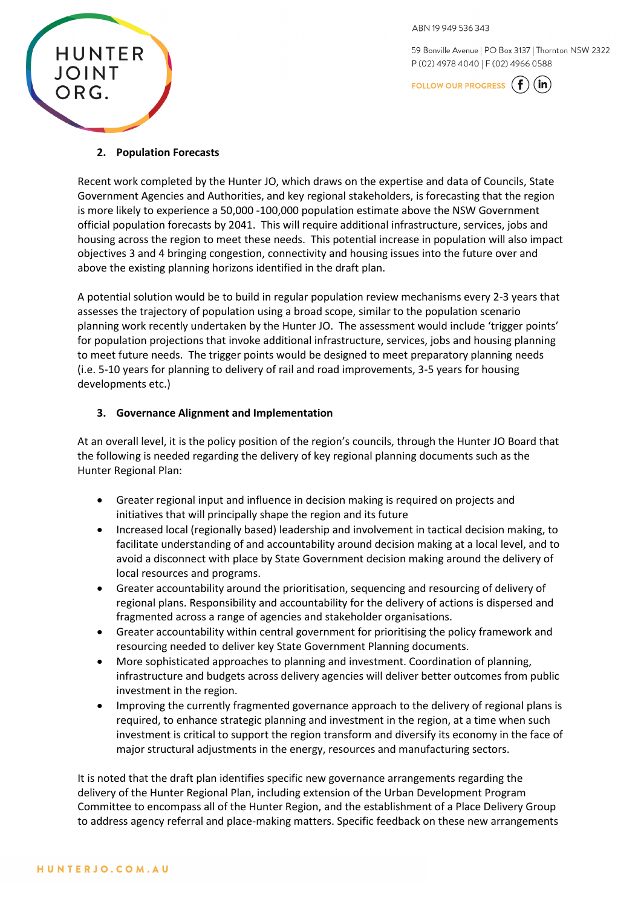59 Bonville Avenue | PO Box 3137 | Thornton NSW 2322 P (02) 4978 4040 | F (02) 4966 0588

FOLLOW OUR PROGRESS  $(f)(in)$ 



### **2. Population Forecasts**

Recent work completed by the Hunter JO, which draws on the expertise and data of Councils, State Government Agencies and Authorities, and key regional stakeholders, is forecasting that the region is more likely to experience a 50,000 -100,000 population estimate above the NSW Government official population forecasts by 2041. This will require additional infrastructure, services, jobs and housing across the region to meet these needs. This potential increase in population will also impact objectives 3 and 4 bringing congestion, connectivity and housing issues into the future over and above the existing planning horizons identified in the draft plan.

A potential solution would be to build in regular population review mechanisms every 2-3 years that assesses the trajectory of population using a broad scope, similar to the population scenario planning work recently undertaken by the Hunter JO. The assessment would include 'trigger points' for population projections that invoke additional infrastructure, services, jobs and housing planning to meet future needs. The trigger points would be designed to meet preparatory planning needs (i.e. 5-10 years for planning to delivery of rail and road improvements, 3-5 years for housing developments etc.)

### **3. Governance Alignment and Implementation**

At an overall level, it is the policy position of the region's councils, through the Hunter JO Board that the following is needed regarding the delivery of key regional planning documents such as the Hunter Regional Plan:

- Greater regional input and influence in decision making is required on projects and initiatives that will principally shape the region and its future
- Increased local (regionally based) leadership and involvement in tactical decision making, to facilitate understanding of and accountability around decision making at a local level, and to avoid a disconnect with place by State Government decision making around the delivery of local resources and programs.
- Greater accountability around the prioritisation, sequencing and resourcing of delivery of regional plans. Responsibility and accountability for the delivery of actions is dispersed and fragmented across a range of agencies and stakeholder organisations.
- Greater accountability within central government for prioritising the policy framework and resourcing needed to deliver key State Government Planning documents.
- More sophisticated approaches to planning and investment. Coordination of planning, infrastructure and budgets across delivery agencies will deliver better outcomes from public investment in the region.
- Improving the currently fragmented governance approach to the delivery of regional plans is required, to enhance strategic planning and investment in the region, at a time when such investment is critical to support the region transform and diversify its economy in the face of major structural adjustments in the energy, resources and manufacturing sectors.

It is noted that the draft plan identifies specific new governance arrangements regarding the delivery of the Hunter Regional Plan, including extension of the Urban Development Program Committee to encompass all of the Hunter Region, and the establishment of a Place Delivery Group to address agency referral and place-making matters. Specific feedback on these new arrangements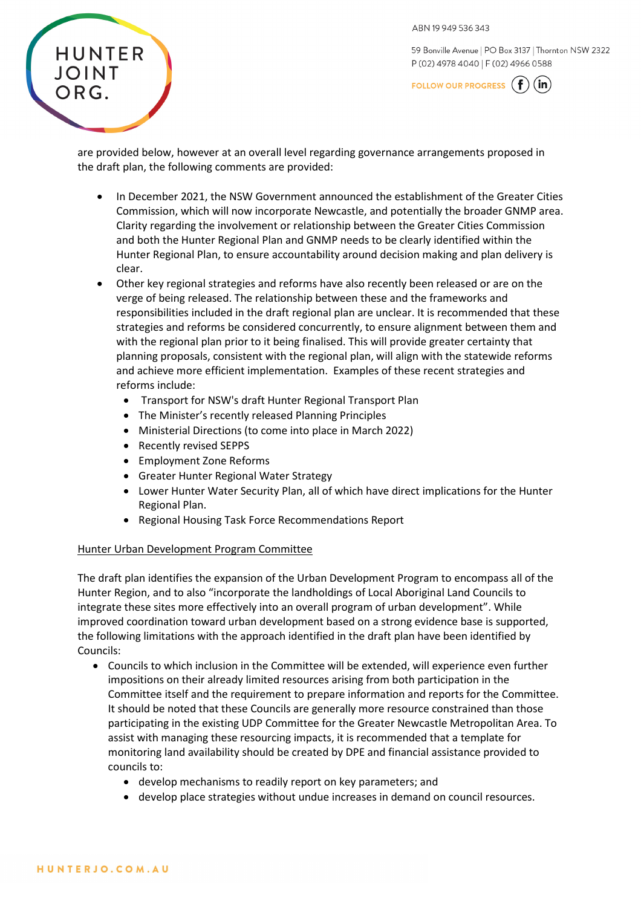

59 Bonville Avenue | PO Box 3137 | Thornton NSW 2322 P (02) 4978 4040 | F (02) 4966 0588

FOLLOW OUR PROGRESS  $(f)(in)$ 

are provided below, however at an overall level regarding governance arrangements proposed in the draft plan, the following comments are provided:

- In December 2021, the NSW Government announced the establishment of the Greater Cities Commission, which will now incorporate Newcastle, and potentially the broader GNMP area. Clarity regarding the involvement or relationship between the Greater Cities Commission and both the Hunter Regional Plan and GNMP needs to be clearly identified within the Hunter Regional Plan, to ensure accountability around decision making and plan delivery is clear.
- Other key regional strategies and reforms have also recently been released or are on the verge of being released. The relationship between these and the frameworks and responsibilities included in the draft regional plan are unclear. It is recommended that these strategies and reforms be considered concurrently, to ensure alignment between them and with the regional plan prior to it being finalised. This will provide greater certainty that planning proposals, consistent with the regional plan, will align with the statewide reforms and achieve more efficient implementation. Examples of these recent strategies and reforms include:
	- Transport for NSW's draft Hunter Regional Transport Plan
	- The Minister's recently released Planning Principles
	- Ministerial Directions (to come into place in March 2022)
	- Recently revised SEPPS
	- Employment Zone Reforms
	- Greater Hunter Regional Water Strategy
	- Lower Hunter Water Security Plan, all of which have direct implications for the Hunter Regional Plan.
	- Regional Housing Task Force Recommendations Report

### Hunter Urban Development Program Committee

The draft plan identifies the expansion of the Urban Development Program to encompass all of the Hunter Region, and to also "incorporate the landholdings of Local Aboriginal Land Councils to integrate these sites more effectively into an overall program of urban development". While improved coordination toward urban development based on a strong evidence base is supported, the following limitations with the approach identified in the draft plan have been identified by Councils:

- Councils to which inclusion in the Committee will be extended, will experience even further impositions on their already limited resources arising from both participation in the Committee itself and the requirement to prepare information and reports for the Committee. It should be noted that these Councils are generally more resource constrained than those participating in the existing UDP Committee for the Greater Newcastle Metropolitan Area. To assist with managing these resourcing impacts, it is recommended that a template for monitoring land availability should be created by DPE and financial assistance provided to councils to:
	- develop mechanisms to readily report on key parameters; and
	- develop place strategies without undue increases in demand on council resources.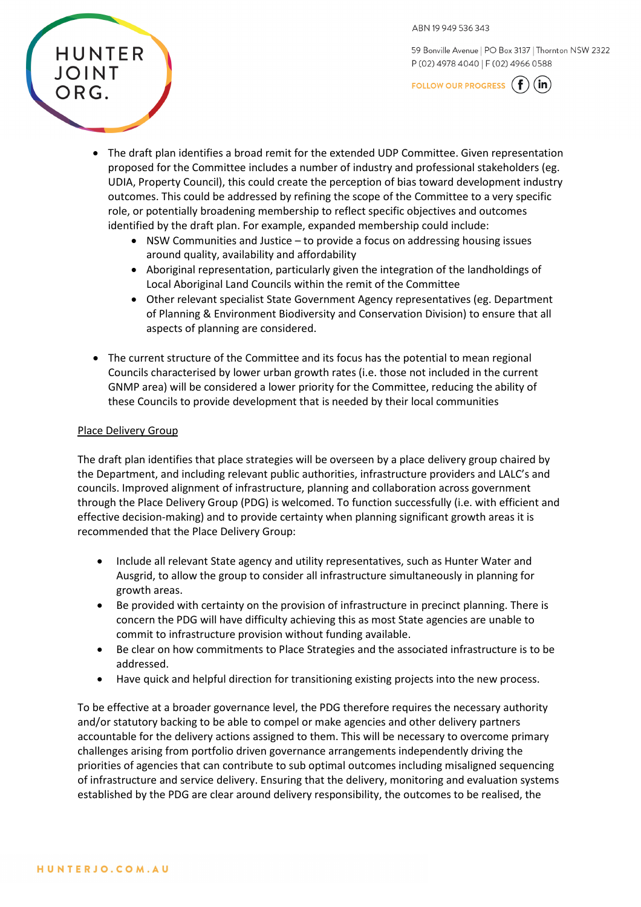

FOLLOW OUR PROGRESS  $(f)(in)$ 

- The draft plan identifies a broad remit for the extended UDP Committee. Given representation proposed for the Committee includes a number of industry and professional stakeholders (eg. UDIA, Property Council), this could create the perception of bias toward development industry outcomes. This could be addressed by refining the scope of the Committee to a very specific role, or potentially broadening membership to reflect specific objectives and outcomes identified by the draft plan. For example, expanded membership could include:
	- NSW Communities and Justice to provide a focus on addressing housing issues around quality, availability and affordability
	- Aboriginal representation, particularly given the integration of the landholdings of Local Aboriginal Land Councils within the remit of the Committee
	- Other relevant specialist State Government Agency representatives (eg. Department of Planning & Environment Biodiversity and Conservation Division) to ensure that all aspects of planning are considered.
- The current structure of the Committee and its focus has the potential to mean regional Councils characterised by lower urban growth rates (i.e. those not included in the current GNMP area) will be considered a lower priority for the Committee, reducing the ability of these Councils to provide development that is needed by their local communities

#### Place Delivery Group

**HUNTER** 

**JOINT** 

ORG.

The draft plan identifies that place strategies will be overseen by a place delivery group chaired by the Department, and including relevant public authorities, infrastructure providers and LALC's and councils. Improved alignment of infrastructure, planning and collaboration across government through the Place Delivery Group (PDG) is welcomed. To function successfully (i.e. with efficient and effective decision-making) and to provide certainty when planning significant growth areas it is recommended that the Place Delivery Group:

- Include all relevant State agency and utility representatives, such as Hunter Water and Ausgrid, to allow the group to consider all infrastructure simultaneously in planning for growth areas.
- Be provided with certainty on the provision of infrastructure in precinct planning. There is concern the PDG will have difficulty achieving this as most State agencies are unable to commit to infrastructure provision without funding available.
- Be clear on how commitments to Place Strategies and the associated infrastructure is to be addressed.
- Have quick and helpful direction for transitioning existing projects into the new process.

To be effective at a broader governance level, the PDG therefore requires the necessary authority and/or statutory backing to be able to compel or make agencies and other delivery partners accountable for the delivery actions assigned to them. This will be necessary to overcome primary challenges arising from portfolio driven governance arrangements independently driving the priorities of agencies that can contribute to sub optimal outcomes including misaligned sequencing of infrastructure and service delivery. Ensuring that the delivery, monitoring and evaluation systems established by the PDG are clear around delivery responsibility, the outcomes to be realised, the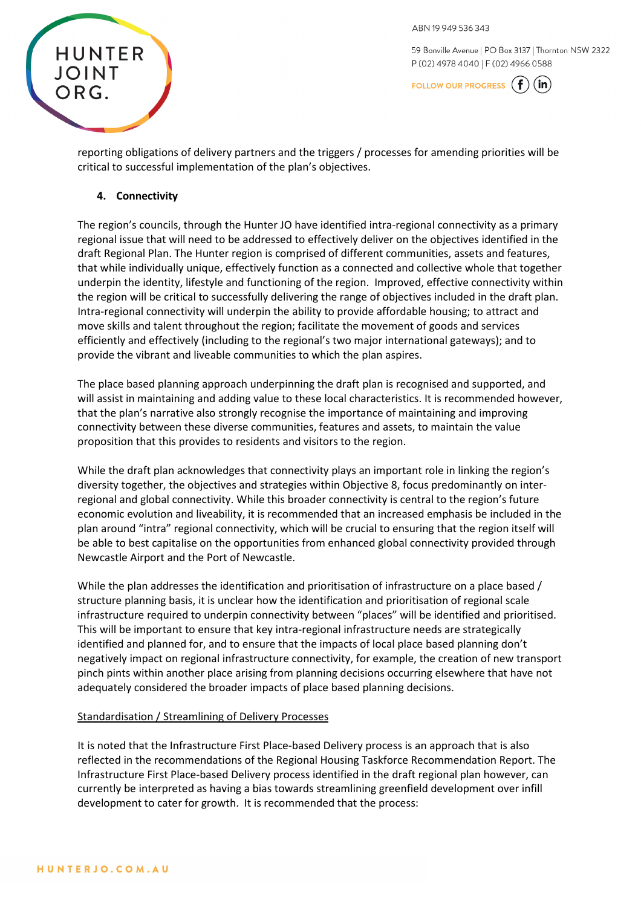

59 Bonville Avenue | PO Box 3137 | Thornton NSW 2322 P (02) 4978 4040 | F (02) 4966 0588

FOLLOW OUR PROGRESS  $(f)$  $(in)$ 

reporting obligations of delivery partners and the triggers / processes for amending priorities will be critical to successful implementation of the plan's objectives.

### **4. Connectivity**

The region's councils, through the Hunter JO have identified intra-regional connectivity as a primary regional issue that will need to be addressed to effectively deliver on the objectives identified in the draft Regional Plan. The Hunter region is comprised of different communities, assets and features, that while individually unique, effectively function as a connected and collective whole that together underpin the identity, lifestyle and functioning of the region. Improved, effective connectivity within the region will be critical to successfully delivering the range of objectives included in the draft plan. Intra-regional connectivity will underpin the ability to provide affordable housing; to attract and move skills and talent throughout the region; facilitate the movement of goods and services efficiently and effectively (including to the regional's two major international gateways); and to provide the vibrant and liveable communities to which the plan aspires.

The place based planning approach underpinning the draft plan is recognised and supported, and will assist in maintaining and adding value to these local characteristics. It is recommended however, that the plan's narrative also strongly recognise the importance of maintaining and improving connectivity between these diverse communities, features and assets, to maintain the value proposition that this provides to residents and visitors to the region.

While the draft plan acknowledges that connectivity plays an important role in linking the region's diversity together, the objectives and strategies within Objective 8, focus predominantly on interregional and global connectivity. While this broader connectivity is central to the region's future economic evolution and liveability, it is recommended that an increased emphasis be included in the plan around "intra" regional connectivity, which will be crucial to ensuring that the region itself will be able to best capitalise on the opportunities from enhanced global connectivity provided through Newcastle Airport and the Port of Newcastle.

While the plan addresses the identification and prioritisation of infrastructure on a place based / structure planning basis, it is unclear how the identification and prioritisation of regional scale infrastructure required to underpin connectivity between "places" will be identified and prioritised. This will be important to ensure that key intra-regional infrastructure needs are strategically identified and planned for, and to ensure that the impacts of local place based planning don't negatively impact on regional infrastructure connectivity, for example, the creation of new transport pinch pints within another place arising from planning decisions occurring elsewhere that have not adequately considered the broader impacts of place based planning decisions.

### Standardisation / Streamlining of Delivery Processes

It is noted that the Infrastructure First Place-based Delivery process is an approach that is also reflected in the recommendations of the Regional Housing Taskforce Recommendation Report. The Infrastructure First Place-based Delivery process identified in the draft regional plan however, can currently be interpreted as having a bias towards streamlining greenfield development over infill development to cater for growth. It is recommended that the process: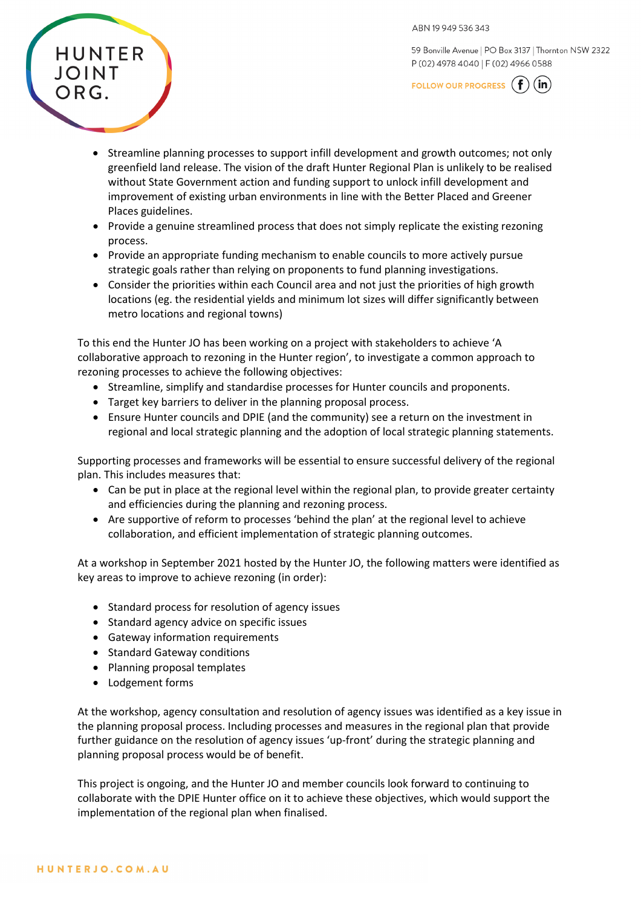59 Bonville Avenue | PO Box 3137 | Thornton NSW 2322 P (02) 4978 4040 | F (02) 4966 0588

FOLLOW OUR PROGRESS  $(f)(in)$ 

- Streamline planning processes to support infill development and growth outcomes; not only greenfield land release. The vision of the draft Hunter Regional Plan is unlikely to be realised without State Government action and funding support to unlock infill development and improvement of existing urban environments in line with the Better Placed and Greener Places guidelines.
- Provide a genuine streamlined process that does not simply replicate the existing rezoning process.
- Provide an appropriate funding mechanism to enable councils to more actively pursue strategic goals rather than relying on proponents to fund planning investigations.
- Consider the priorities within each Council area and not just the priorities of high growth locations (eg. the residential yields and minimum lot sizes will differ significantly between metro locations and regional towns)

To this end the Hunter JO has been working on a project with stakeholders to achieve 'A collaborative approach to rezoning in the Hunter region', to investigate a common approach to rezoning processes to achieve the following objectives:

- Streamline, simplify and standardise processes for Hunter councils and proponents.
- Target key barriers to deliver in the planning proposal process.
- Ensure Hunter councils and DPIE (and the community) see a return on the investment in regional and local strategic planning and the adoption of local strategic planning statements.

Supporting processes and frameworks will be essential to ensure successful delivery of the regional plan. This includes measures that:

- Can be put in place at the regional level within the regional plan, to provide greater certainty and efficiencies during the planning and rezoning process.
- Are supportive of reform to processes 'behind the plan' at the regional level to achieve collaboration, and efficient implementation of strategic planning outcomes.

At a workshop in September 2021 hosted by the Hunter JO, the following matters were identified as key areas to improve to achieve rezoning (in order):

- Standard process for resolution of agency issues
- Standard agency advice on specific issues
- Gateway information requirements
- Standard Gateway conditions
- Planning proposal templates
- Lodgement forms

At the workshop, agency consultation and resolution of agency issues was identified as a key issue in the planning proposal process. Including processes and measures in the regional plan that provide further guidance on the resolution of agency issues 'up-front' during the strategic planning and planning proposal process would be of benefit.

This project is ongoing, and the Hunter JO and member councils look forward to continuing to collaborate with the DPIE Hunter office on it to achieve these objectives, which would support the implementation of the regional plan when finalised.

**HUNTER** 

JOINT

ORG.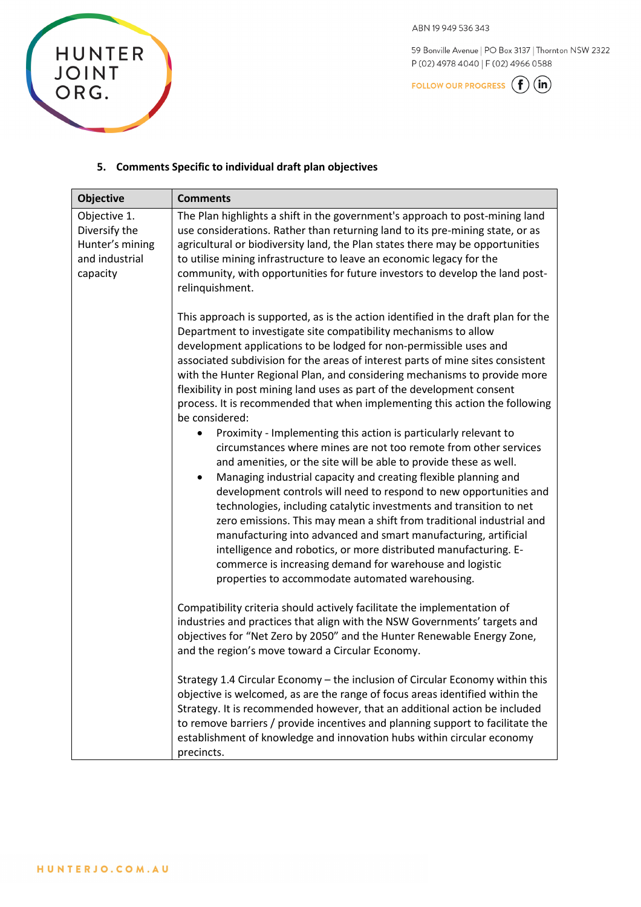

59 Bonville Avenue | PO Box 3137 | Thornton NSW 2322 P(02) 4978 4040 | F(02) 4966 0588

FOLLOW OUR PROGRESS  $\bigoplus$  (in)

# 5. Comments Specific to individual draft plan objectives

| <b>Objective</b>                                                               | <b>Comments</b>                                                                                                                                                                                                                                                                                                                                                                                                                                                                                                                                                                                                                                                                                                                                                                                                                                                                                                                                                                                                                                                                                                                                                                                                                                                                                                                                                                                                                   |
|--------------------------------------------------------------------------------|-----------------------------------------------------------------------------------------------------------------------------------------------------------------------------------------------------------------------------------------------------------------------------------------------------------------------------------------------------------------------------------------------------------------------------------------------------------------------------------------------------------------------------------------------------------------------------------------------------------------------------------------------------------------------------------------------------------------------------------------------------------------------------------------------------------------------------------------------------------------------------------------------------------------------------------------------------------------------------------------------------------------------------------------------------------------------------------------------------------------------------------------------------------------------------------------------------------------------------------------------------------------------------------------------------------------------------------------------------------------------------------------------------------------------------------|
| Objective 1.<br>Diversify the<br>Hunter's mining<br>and industrial<br>capacity | The Plan highlights a shift in the government's approach to post-mining land<br>use considerations. Rather than returning land to its pre-mining state, or as<br>agricultural or biodiversity land, the Plan states there may be opportunities<br>to utilise mining infrastructure to leave an economic legacy for the<br>community, with opportunities for future investors to develop the land post-<br>relinquishment.                                                                                                                                                                                                                                                                                                                                                                                                                                                                                                                                                                                                                                                                                                                                                                                                                                                                                                                                                                                                         |
|                                                                                | This approach is supported, as is the action identified in the draft plan for the<br>Department to investigate site compatibility mechanisms to allow<br>development applications to be lodged for non-permissible uses and<br>associated subdivision for the areas of interest parts of mine sites consistent<br>with the Hunter Regional Plan, and considering mechanisms to provide more<br>flexibility in post mining land uses as part of the development consent<br>process. It is recommended that when implementing this action the following<br>be considered:<br>Proximity - Implementing this action is particularly relevant to<br>٠<br>circumstances where mines are not too remote from other services<br>and amenities, or the site will be able to provide these as well.<br>Managing industrial capacity and creating flexible planning and<br>$\bullet$<br>development controls will need to respond to new opportunities and<br>technologies, including catalytic investments and transition to net<br>zero emissions. This may mean a shift from traditional industrial and<br>manufacturing into advanced and smart manufacturing, artificial<br>intelligence and robotics, or more distributed manufacturing. E-<br>commerce is increasing demand for warehouse and logistic<br>properties to accommodate automated warehousing.<br>Compatibility criteria should actively facilitate the implementation of |
|                                                                                | industries and practices that align with the NSW Governments' targets and<br>objectives for "Net Zero by 2050" and the Hunter Renewable Energy Zone,<br>and the region's move toward a Circular Economy.                                                                                                                                                                                                                                                                                                                                                                                                                                                                                                                                                                                                                                                                                                                                                                                                                                                                                                                                                                                                                                                                                                                                                                                                                          |
|                                                                                | Strategy 1.4 Circular Economy - the inclusion of Circular Economy within this<br>objective is welcomed, as are the range of focus areas identified within the<br>Strategy. It is recommended however, that an additional action be included<br>to remove barriers / provide incentives and planning support to facilitate the<br>establishment of knowledge and innovation hubs within circular economy<br>precincts.                                                                                                                                                                                                                                                                                                                                                                                                                                                                                                                                                                                                                                                                                                                                                                                                                                                                                                                                                                                                             |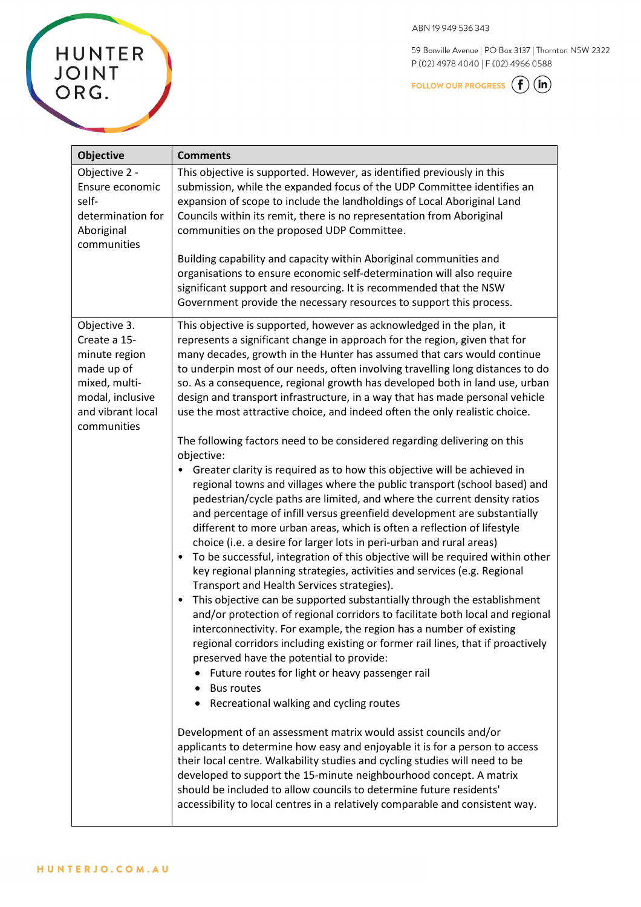59 Bonville Avenue | PO Box 3137 | Thornton NSW 2322 P(02) 4978 4040 | F(02) 4966 0588

FOLLOW OUR PROGRESS  $\bigoplus$   $\overline{\mathfrak{m}}$ 

| <b>Objective</b>                                                                                                                     | <b>Comments</b>                                                                                                                                                                                                                                                                                                                                                                                                                                                                                                                                                                                                                                                                                                                                                                                                                                                                                                                                                                                                                                                                                                                                                                                                                                                                                                                                                                                                                                                                                                                                                                                                                                                                                                                                                                                                                                                                                                              |
|--------------------------------------------------------------------------------------------------------------------------------------|------------------------------------------------------------------------------------------------------------------------------------------------------------------------------------------------------------------------------------------------------------------------------------------------------------------------------------------------------------------------------------------------------------------------------------------------------------------------------------------------------------------------------------------------------------------------------------------------------------------------------------------------------------------------------------------------------------------------------------------------------------------------------------------------------------------------------------------------------------------------------------------------------------------------------------------------------------------------------------------------------------------------------------------------------------------------------------------------------------------------------------------------------------------------------------------------------------------------------------------------------------------------------------------------------------------------------------------------------------------------------------------------------------------------------------------------------------------------------------------------------------------------------------------------------------------------------------------------------------------------------------------------------------------------------------------------------------------------------------------------------------------------------------------------------------------------------------------------------------------------------------------------------------------------------|
| Objective 2 -<br>Ensure economic<br>self-<br>determination for<br>Aboriginal<br>communities                                          | This objective is supported. However, as identified previously in this<br>submission, while the expanded focus of the UDP Committee identifies an<br>expansion of scope to include the landholdings of Local Aboriginal Land<br>Councils within its remit, there is no representation from Aboriginal<br>communities on the proposed UDP Committee.<br>Building capability and capacity within Aboriginal communities and<br>organisations to ensure economic self-determination will also require<br>significant support and resourcing. It is recommended that the NSW                                                                                                                                                                                                                                                                                                                                                                                                                                                                                                                                                                                                                                                                                                                                                                                                                                                                                                                                                                                                                                                                                                                                                                                                                                                                                                                                                     |
| Objective 3.<br>Create a 15-<br>minute region<br>made up of<br>mixed, multi-<br>modal, inclusive<br>and vibrant local<br>communities | Government provide the necessary resources to support this process.<br>This objective is supported, however as acknowledged in the plan, it<br>represents a significant change in approach for the region, given that for<br>many decades, growth in the Hunter has assumed that cars would continue<br>to underpin most of our needs, often involving travelling long distances to do<br>so. As a consequence, regional growth has developed both in land use, urban<br>design and transport infrastructure, in a way that has made personal vehicle<br>use the most attractive choice, and indeed often the only realistic choice.<br>The following factors need to be considered regarding delivering on this<br>objective:<br>Greater clarity is required as to how this objective will be achieved in<br>regional towns and villages where the public transport (school based) and<br>pedestrian/cycle paths are limited, and where the current density ratios<br>and percentage of infill versus greenfield development are substantially<br>different to more urban areas, which is often a reflection of lifestyle<br>choice (i.e. a desire for larger lots in peri-urban and rural areas)<br>To be successful, integration of this objective will be required within other<br>$\bullet$<br>key regional planning strategies, activities and services (e.g. Regional<br>Transport and Health Services strategies).<br>This objective can be supported substantially through the establishment<br>$\bullet$<br>and/or protection of regional corridors to facilitate both local and regional<br>interconnectivity. For example, the region has a number of existing<br>regional corridors including existing or former rail lines, that if proactively<br>preserved have the potential to provide:<br>Future routes for light or heavy passenger rail<br><b>Bus routes</b><br>Recreational walking and cycling routes |
|                                                                                                                                      | Development of an assessment matrix would assist councils and/or<br>applicants to determine how easy and enjoyable it is for a person to access<br>their local centre. Walkability studies and cycling studies will need to be<br>developed to support the 15-minute neighbourhood concept. A matrix<br>should be included to allow councils to determine future residents'<br>accessibility to local centres in a relatively comparable and consistent way.                                                                                                                                                                                                                                                                                                                                                                                                                                                                                                                                                                                                                                                                                                                                                                                                                                                                                                                                                                                                                                                                                                                                                                                                                                                                                                                                                                                                                                                                 |

HUNTERJO.COM.AU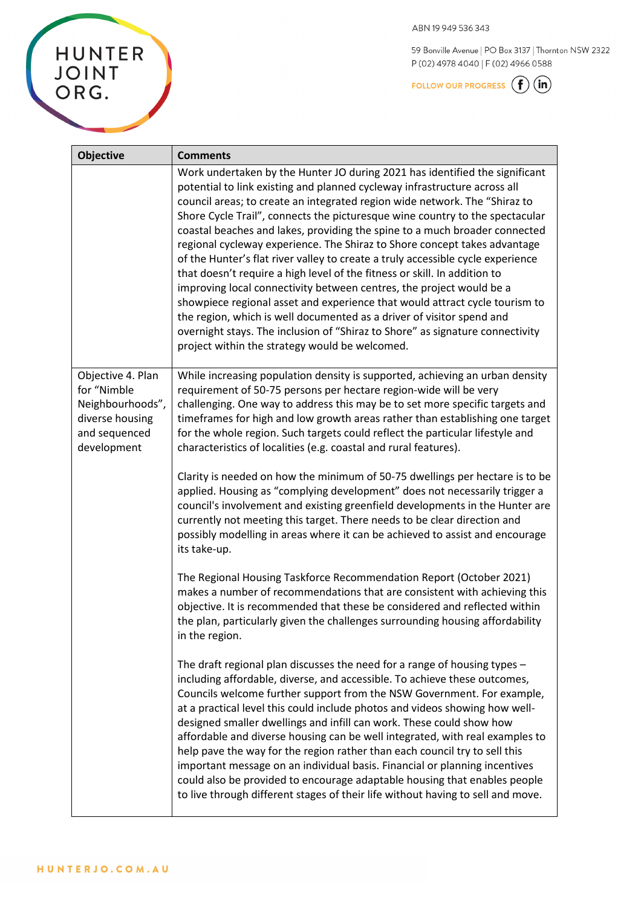HUNTER<br>JOINT<br>ORG.

ABN 19949536343

59 Bonville Avenue | PO Box 3137 | Thornton NSW 2322 P(02) 4978 4040 | F(02) 4966 0588

FOLLOW OUR PROGRESS  $\bigoplus$  (in)

| <b>Objective</b>                                                                                        | <b>Comments</b>                                                                                                                                                                                                                                                                                                                                                                                                                                                                                                                                                                                                                                                                                                                                                                                                                                                                                                                                                                                                      |
|---------------------------------------------------------------------------------------------------------|----------------------------------------------------------------------------------------------------------------------------------------------------------------------------------------------------------------------------------------------------------------------------------------------------------------------------------------------------------------------------------------------------------------------------------------------------------------------------------------------------------------------------------------------------------------------------------------------------------------------------------------------------------------------------------------------------------------------------------------------------------------------------------------------------------------------------------------------------------------------------------------------------------------------------------------------------------------------------------------------------------------------|
|                                                                                                         | Work undertaken by the Hunter JO during 2021 has identified the significant<br>potential to link existing and planned cycleway infrastructure across all<br>council areas; to create an integrated region wide network. The "Shiraz to<br>Shore Cycle Trail", connects the picturesque wine country to the spectacular<br>coastal beaches and lakes, providing the spine to a much broader connected<br>regional cycleway experience. The Shiraz to Shore concept takes advantage<br>of the Hunter's flat river valley to create a truly accessible cycle experience<br>that doesn't require a high level of the fitness or skill. In addition to<br>improving local connectivity between centres, the project would be a<br>showpiece regional asset and experience that would attract cycle tourism to<br>the region, which is well documented as a driver of visitor spend and<br>overnight stays. The inclusion of "Shiraz to Shore" as signature connectivity<br>project within the strategy would be welcomed. |
| Objective 4. Plan<br>for "Nimble<br>Neighbourhoods",<br>diverse housing<br>and sequenced<br>development | While increasing population density is supported, achieving an urban density<br>requirement of 50-75 persons per hectare region-wide will be very<br>challenging. One way to address this may be to set more specific targets and<br>timeframes for high and low growth areas rather than establishing one target<br>for the whole region. Such targets could reflect the particular lifestyle and<br>characteristics of localities (e.g. coastal and rural features).                                                                                                                                                                                                                                                                                                                                                                                                                                                                                                                                               |
|                                                                                                         | Clarity is needed on how the minimum of 50-75 dwellings per hectare is to be<br>applied. Housing as "complying development" does not necessarily trigger a<br>council's involvement and existing greenfield developments in the Hunter are<br>currently not meeting this target. There needs to be clear direction and<br>possibly modelling in areas where it can be achieved to assist and encourage<br>its take-up.                                                                                                                                                                                                                                                                                                                                                                                                                                                                                                                                                                                               |
|                                                                                                         | The Regional Housing Taskforce Recommendation Report (October 2021)<br>makes a number of recommendations that are consistent with achieving this<br>objective. It is recommended that these be considered and reflected within<br>the plan, particularly given the challenges surrounding housing affordability<br>in the region.                                                                                                                                                                                                                                                                                                                                                                                                                                                                                                                                                                                                                                                                                    |
|                                                                                                         | The draft regional plan discusses the need for a range of housing types $-$<br>including affordable, diverse, and accessible. To achieve these outcomes,<br>Councils welcome further support from the NSW Government. For example,<br>at a practical level this could include photos and videos showing how well-<br>designed smaller dwellings and infill can work. These could show how<br>affordable and diverse housing can be well integrated, with real examples to<br>help pave the way for the region rather than each council try to sell this<br>important message on an individual basis. Financial or planning incentives<br>could also be provided to encourage adaptable housing that enables people<br>to live through different stages of their life without having to sell and move.                                                                                                                                                                                                                |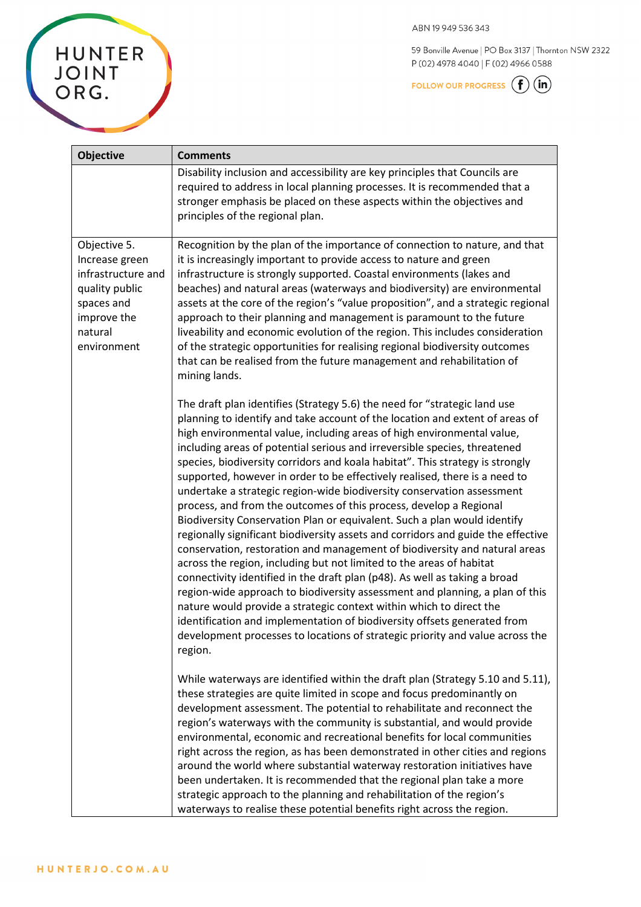59 Bonville Avenue | PO Box 3137 | Thornton NSW 2322 P(02) 4978 4040 | F(02) 4966 0588

FOLLOW OUR PROGRESS  $\left(\begin{matrix} \textbf{f} \end{matrix}\right)$   $\left(\begin{matrix} \textbf{in} \end{matrix}\right)$ 

|  |  | F |
|--|--|---|
|  |  |   |

| <b>Objective</b>                                                                                                              | <b>Comments</b>                                                                                                                                                                                                                                                                                                                                                                                                                                                                                                                                                                                                                                                                                                                                                                                                                                                                                                                                                                                                                                                                                                                                                                                                                                                                                                                                                    |
|-------------------------------------------------------------------------------------------------------------------------------|--------------------------------------------------------------------------------------------------------------------------------------------------------------------------------------------------------------------------------------------------------------------------------------------------------------------------------------------------------------------------------------------------------------------------------------------------------------------------------------------------------------------------------------------------------------------------------------------------------------------------------------------------------------------------------------------------------------------------------------------------------------------------------------------------------------------------------------------------------------------------------------------------------------------------------------------------------------------------------------------------------------------------------------------------------------------------------------------------------------------------------------------------------------------------------------------------------------------------------------------------------------------------------------------------------------------------------------------------------------------|
|                                                                                                                               | Disability inclusion and accessibility are key principles that Councils are<br>required to address in local planning processes. It is recommended that a<br>stronger emphasis be placed on these aspects within the objectives and<br>principles of the regional plan.                                                                                                                                                                                                                                                                                                                                                                                                                                                                                                                                                                                                                                                                                                                                                                                                                                                                                                                                                                                                                                                                                             |
| Objective 5.<br>Increase green<br>infrastructure and<br>quality public<br>spaces and<br>improve the<br>natural<br>environment | Recognition by the plan of the importance of connection to nature, and that<br>it is increasingly important to provide access to nature and green<br>infrastructure is strongly supported. Coastal environments (lakes and<br>beaches) and natural areas (waterways and biodiversity) are environmental<br>assets at the core of the region's "value proposition", and a strategic regional<br>approach to their planning and management is paramount to the future<br>liveability and economic evolution of the region. This includes consideration<br>of the strategic opportunities for realising regional biodiversity outcomes<br>that can be realised from the future management and rehabilitation of<br>mining lands.                                                                                                                                                                                                                                                                                                                                                                                                                                                                                                                                                                                                                                      |
|                                                                                                                               | The draft plan identifies (Strategy 5.6) the need for "strategic land use<br>planning to identify and take account of the location and extent of areas of<br>high environmental value, including areas of high environmental value,<br>including areas of potential serious and irreversible species, threatened<br>species, biodiversity corridors and koala habitat". This strategy is strongly<br>supported, however in order to be effectively realised, there is a need to<br>undertake a strategic region-wide biodiversity conservation assessment<br>process, and from the outcomes of this process, develop a Regional<br>Biodiversity Conservation Plan or equivalent. Such a plan would identify<br>regionally significant biodiversity assets and corridors and guide the effective<br>conservation, restoration and management of biodiversity and natural areas<br>across the region, including but not limited to the areas of habitat<br>connectivity identified in the draft plan (p48). As well as taking a broad<br>region-wide approach to biodiversity assessment and planning, a plan of this<br>nature would provide a strategic context within which to direct the<br>identification and implementation of biodiversity offsets generated from<br>development processes to locations of strategic priority and value across the<br>region. |
|                                                                                                                               | While waterways are identified within the draft plan (Strategy 5.10 and 5.11),<br>these strategies are quite limited in scope and focus predominantly on<br>development assessment. The potential to rehabilitate and reconnect the<br>region's waterways with the community is substantial, and would provide<br>environmental, economic and recreational benefits for local communities<br>right across the region, as has been demonstrated in other cities and regions<br>around the world where substantial waterway restoration initiatives have<br>been undertaken. It is recommended that the regional plan take a more<br>strategic approach to the planning and rehabilitation of the region's<br>waterways to realise these potential benefits right across the region.                                                                                                                                                                                                                                                                                                                                                                                                                                                                                                                                                                                 |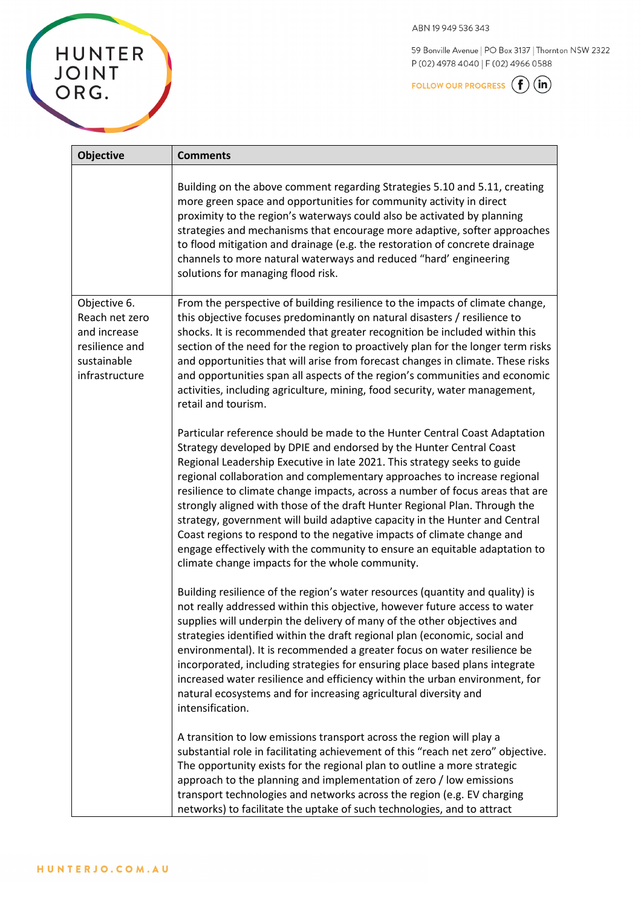59 Bonville Avenue | PO Box 3137 | Thornton NSW 2322 P(02) 4978 4040 | F(02) 4966 0588

FOLLOW OUR PROGRESS  $\bigoplus$   $\overline{\mathfrak{m}}$ 

| <b>Objective</b>                                                                                  | <b>Comments</b>                                                                                                                                                                                                                                                                                                                                                                                                                                                                                                                                                                                                                                                                                                                                                    |
|---------------------------------------------------------------------------------------------------|--------------------------------------------------------------------------------------------------------------------------------------------------------------------------------------------------------------------------------------------------------------------------------------------------------------------------------------------------------------------------------------------------------------------------------------------------------------------------------------------------------------------------------------------------------------------------------------------------------------------------------------------------------------------------------------------------------------------------------------------------------------------|
|                                                                                                   | Building on the above comment regarding Strategies 5.10 and 5.11, creating<br>more green space and opportunities for community activity in direct<br>proximity to the region's waterways could also be activated by planning<br>strategies and mechanisms that encourage more adaptive, softer approaches<br>to flood mitigation and drainage (e.g. the restoration of concrete drainage<br>channels to more natural waterways and reduced "hard' engineering<br>solutions for managing flood risk.                                                                                                                                                                                                                                                                |
| Objective 6.<br>Reach net zero<br>and increase<br>resilience and<br>sustainable<br>infrastructure | From the perspective of building resilience to the impacts of climate change,<br>this objective focuses predominantly on natural disasters / resilience to<br>shocks. It is recommended that greater recognition be included within this<br>section of the need for the region to proactively plan for the longer term risks<br>and opportunities that will arise from forecast changes in climate. These risks<br>and opportunities span all aspects of the region's communities and economic<br>activities, including agriculture, mining, food security, water management,<br>retail and tourism.                                                                                                                                                               |
|                                                                                                   | Particular reference should be made to the Hunter Central Coast Adaptation<br>Strategy developed by DPIE and endorsed by the Hunter Central Coast<br>Regional Leadership Executive in late 2021. This strategy seeks to guide<br>regional collaboration and complementary approaches to increase regional<br>resilience to climate change impacts, across a number of focus areas that are<br>strongly aligned with those of the draft Hunter Regional Plan. Through the<br>strategy, government will build adaptive capacity in the Hunter and Central<br>Coast regions to respond to the negative impacts of climate change and<br>engage effectively with the community to ensure an equitable adaptation to<br>climate change impacts for the whole community. |
|                                                                                                   | Building resilience of the region's water resources (quantity and quality) is<br>not really addressed within this objective, however future access to water<br>supplies will underpin the delivery of many of the other objectives and<br>strategies identified within the draft regional plan (economic, social and<br>environmental). It is recommended a greater focus on water resilience be<br>incorporated, including strategies for ensuring place based plans integrate<br>increased water resilience and efficiency within the urban environment, for<br>natural ecosystems and for increasing agricultural diversity and<br>intensification.                                                                                                             |
|                                                                                                   | A transition to low emissions transport across the region will play a<br>substantial role in facilitating achievement of this "reach net zero" objective.<br>The opportunity exists for the regional plan to outline a more strategic<br>approach to the planning and implementation of zero / low emissions<br>transport technologies and networks across the region (e.g. EV charging<br>networks) to facilitate the uptake of such technologies, and to attract                                                                                                                                                                                                                                                                                                 |

HUNTER<br>JOINT<br>ORG.

**F**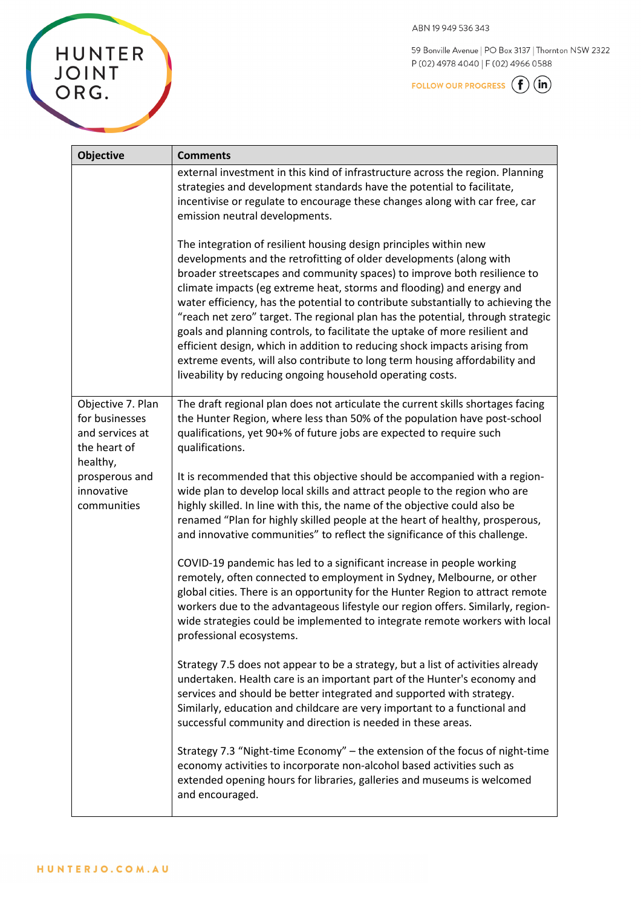59 Bonville Avenue | PO Box 3137 | Thornton NSW 2322 P(02) 4978 4040 | F(02) 4966 0588

FOLLOW OUR PROGRESS  $\bigoplus$  (in)

| <b>Objective</b>                                                                                                                  | <b>Comments</b>                                                                                                                                                                                                                                                                                                                                                                                                                                                                                                                                                                                                                                                                                                                                                                |
|-----------------------------------------------------------------------------------------------------------------------------------|--------------------------------------------------------------------------------------------------------------------------------------------------------------------------------------------------------------------------------------------------------------------------------------------------------------------------------------------------------------------------------------------------------------------------------------------------------------------------------------------------------------------------------------------------------------------------------------------------------------------------------------------------------------------------------------------------------------------------------------------------------------------------------|
|                                                                                                                                   | external investment in this kind of infrastructure across the region. Planning<br>strategies and development standards have the potential to facilitate,<br>incentivise or regulate to encourage these changes along with car free, car<br>emission neutral developments.                                                                                                                                                                                                                                                                                                                                                                                                                                                                                                      |
|                                                                                                                                   | The integration of resilient housing design principles within new<br>developments and the retrofitting of older developments (along with<br>broader streetscapes and community spaces) to improve both resilience to<br>climate impacts (eg extreme heat, storms and flooding) and energy and<br>water efficiency, has the potential to contribute substantially to achieving the<br>"reach net zero" target. The regional plan has the potential, through strategic<br>goals and planning controls, to facilitate the uptake of more resilient and<br>efficient design, which in addition to reducing shock impacts arising from<br>extreme events, will also contribute to long term housing affordability and<br>liveability by reducing ongoing household operating costs. |
| Objective 7. Plan<br>for businesses<br>and services at<br>the heart of<br>healthy,<br>prosperous and<br>innovative<br>communities | The draft regional plan does not articulate the current skills shortages facing<br>the Hunter Region, where less than 50% of the population have post-school<br>qualifications, yet 90+% of future jobs are expected to require such<br>qualifications.                                                                                                                                                                                                                                                                                                                                                                                                                                                                                                                        |
|                                                                                                                                   | It is recommended that this objective should be accompanied with a region-<br>wide plan to develop local skills and attract people to the region who are<br>highly skilled. In line with this, the name of the objective could also be<br>renamed "Plan for highly skilled people at the heart of healthy, prosperous,<br>and innovative communities" to reflect the significance of this challenge.                                                                                                                                                                                                                                                                                                                                                                           |
|                                                                                                                                   | COVID-19 pandemic has led to a significant increase in people working<br>remotely, often connected to employment in Sydney, Melbourne, or other<br>global cities. There is an opportunity for the Hunter Region to attract remote<br>workers due to the advantageous lifestyle our region offers. Similarly, region-<br>wide strategies could be implemented to integrate remote workers with local<br>professional ecosystems.                                                                                                                                                                                                                                                                                                                                                |
|                                                                                                                                   | Strategy 7.5 does not appear to be a strategy, but a list of activities already<br>undertaken. Health care is an important part of the Hunter's economy and<br>services and should be better integrated and supported with strategy.<br>Similarly, education and childcare are very important to a functional and<br>successful community and direction is needed in these areas.                                                                                                                                                                                                                                                                                                                                                                                              |
|                                                                                                                                   | Strategy 7.3 "Night-time Economy" - the extension of the focus of night-time<br>economy activities to incorporate non-alcohol based activities such as<br>extended opening hours for libraries, galleries and museums is welcomed                                                                                                                                                                                                                                                                                                                                                                                                                                                                                                                                              |

and encouraged.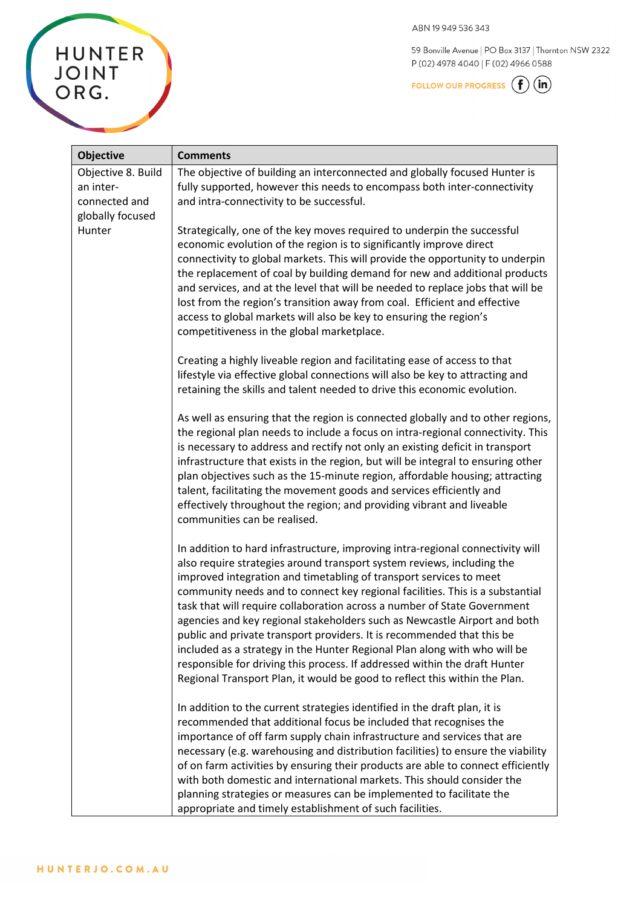59 Bonville Avenue | PO Box 3137 | Thornton NSW 2322 P(02) 4978 4040 | F(02) 4966 0588

FOLLOW OUR PROGRESS  $\bigoplus$   $\overline{\mathfrak{m}}$ 

| <b>Objective</b>                                                     | <b>Comments</b>                                                                                                                                                                                                                                                                                                                                                                                                                                                                                                                                                                                                                                                                                                                                                                             |
|----------------------------------------------------------------------|---------------------------------------------------------------------------------------------------------------------------------------------------------------------------------------------------------------------------------------------------------------------------------------------------------------------------------------------------------------------------------------------------------------------------------------------------------------------------------------------------------------------------------------------------------------------------------------------------------------------------------------------------------------------------------------------------------------------------------------------------------------------------------------------|
| Objective 8. Build<br>an inter-<br>connected and<br>globally focused | The objective of building an interconnected and globally focused Hunter is<br>fully supported, however this needs to encompass both inter-connectivity<br>and intra-connectivity to be successful.                                                                                                                                                                                                                                                                                                                                                                                                                                                                                                                                                                                          |
| Hunter                                                               | Strategically, one of the key moves required to underpin the successful<br>economic evolution of the region is to significantly improve direct<br>connectivity to global markets. This will provide the opportunity to underpin<br>the replacement of coal by building demand for new and additional products<br>and services, and at the level that will be needed to replace jobs that will be<br>lost from the region's transition away from coal. Efficient and effective<br>access to global markets will also be key to ensuring the region's<br>competitiveness in the global marketplace.                                                                                                                                                                                           |
|                                                                      | Creating a highly liveable region and facilitating ease of access to that<br>lifestyle via effective global connections will also be key to attracting and<br>retaining the skills and talent needed to drive this economic evolution.                                                                                                                                                                                                                                                                                                                                                                                                                                                                                                                                                      |
|                                                                      | As well as ensuring that the region is connected globally and to other regions,<br>the regional plan needs to include a focus on intra-regional connectivity. This<br>is necessary to address and rectify not only an existing deficit in transport<br>infrastructure that exists in the region, but will be integral to ensuring other<br>plan objectives such as the 15-minute region, affordable housing; attracting<br>talent, facilitating the movement goods and services efficiently and<br>effectively throughout the region; and providing vibrant and liveable<br>communities can be realised.                                                                                                                                                                                    |
|                                                                      | In addition to hard infrastructure, improving intra-regional connectivity will<br>also require strategies around transport system reviews, including the<br>improved integration and timetabling of transport services to meet<br>community needs and to connect key regional facilities. This is a substantial<br>task that will require collaboration across a number of State Government<br>agencies and key regional stakeholders such as Newcastle Airport and both<br>public and private transport providers. It is recommended that this be<br>included as a strategy in the Hunter Regional Plan along with who will be<br>responsible for driving this process. If addressed within the draft Hunter<br>Regional Transport Plan, it would be good to reflect this within the Plan. |
|                                                                      | In addition to the current strategies identified in the draft plan, it is<br>recommended that additional focus be included that recognises the<br>importance of off farm supply chain infrastructure and services that are<br>necessary (e.g. warehousing and distribution facilities) to ensure the viability<br>of on farm activities by ensuring their products are able to connect efficiently<br>with both domestic and international markets. This should consider the<br>planning strategies or measures can be implemented to facilitate the<br>appropriate and timely establishment of such facilities.                                                                                                                                                                            |